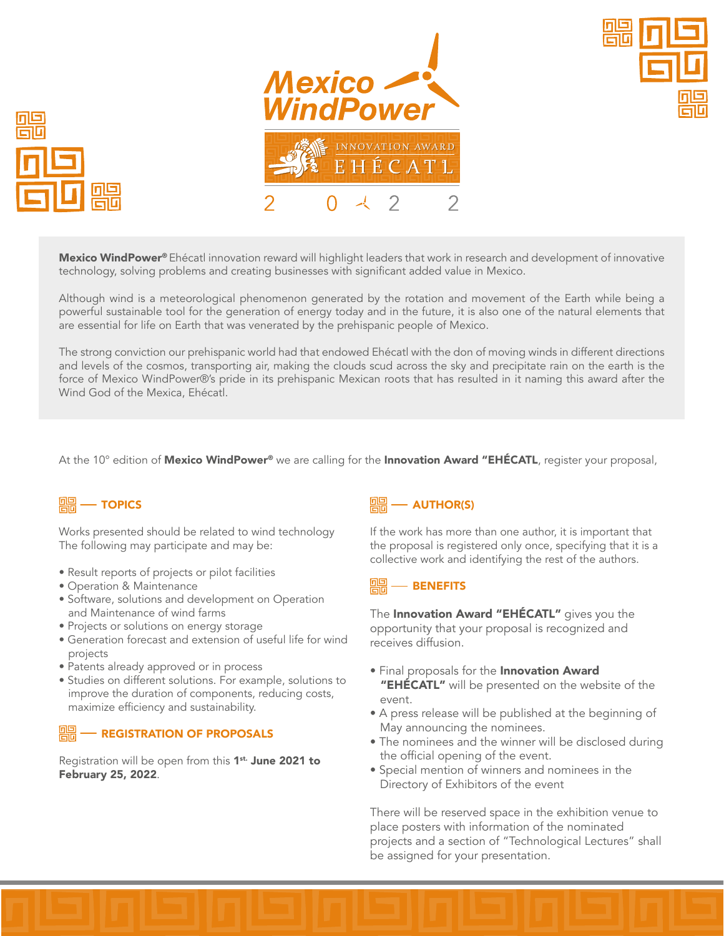





Mexico WindPower® Ehécatl innovation reward will highlight leaders that work in research and development of innovative technology, solving problems and creating businesses with significant added value in Mexico.

Although wind is a meteorological phenomenon generated by the rotation and movement of the Earth while being a powerful sustainable tool for the generation of energy today and in the future, it is also one of the natural elements that are essential for life on Earth that was venerated by the prehispanic people of Mexico.

The strong conviction our prehispanic world had that endowed Ehécatl with the don of moving winds in different directions and levels of the cosmos, transporting air, making the clouds scud across the sky and precipitate rain on the earth is the force of Mexico WindPower®'s pride in its prehispanic Mexican roots that has resulted in it naming this award after the Wind God of the Mexica, Ehécatl.

At the 10 $\degree$  edition of Mexico WindPower $\degree$  we are calling for the Innovation Award "EHÉCATL, register your proposal,

# - TOPICS

Works presented should be related to wind technology The following may participate and may be:

- Result reports of projects or pilot facilities
- Operation & Maintenance
- Software, solutions and development on Operation and Maintenance of wind farms
- Projects or solutions on energy storage
- Generation forecast and extension of useful life for wind projects
- Patents already approved or in process
- Studies on different solutions. For example, solutions to improve the duration of components, reducing costs, maximize efficiency and sustainability.

### REGISTRATION OF PROPOSALS

Registration will be open from this 1<sup>st.</sup> June 2021 to February 25, 2022.

# - **AUTHOR(S)**

If the work has more than one author, it is important that the proposal is registered only once, specifying that it is a collective work and identifying the rest of the authors.

## $-$  BENEFITS

The Innovation Award "EHÉCATL" gives you the opportunity that your proposal is recognized and receives diffusion.

- Final proposals for the **Innovation Award** "EHÉCATL" will be presented on the website of the event.
- A press release will be published at the beginning of May announcing the nominees.
- The nominees and the winner will be disclosed during the official opening of the event.
- Special mention of winners and nominees in the Directory of Exhibitors of the event

There will be reserved space in the exhibition venue to place posters with information of the nominated projects and a section of "Technological Lectures" shall be assigned for your presentation.